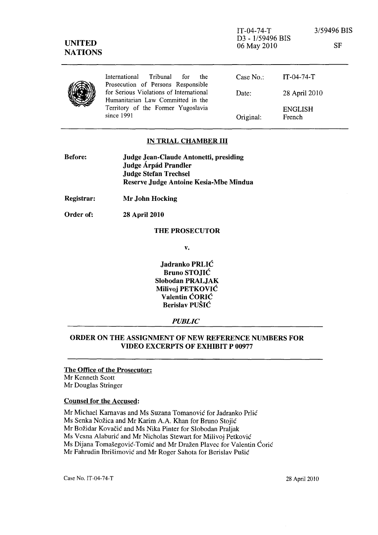IT-04-74-T D3 - 1/59496 BIS 06 May 2010

3/59496 BIS

SF

|  | International Tribunal for<br>the                                             | Case No.: | IT-04-74-T     |
|--|-------------------------------------------------------------------------------|-----------|----------------|
|  | Prosecution of Persons Responsible<br>for Serious Violations of International | Date:     | 28 April 2010  |
|  | Humanitarian Law Committed in the                                             |           |                |
|  | Territory of the Former Yugoslavia<br>since $1991$                            |           | <b>ENGLISH</b> |
|  |                                                                               | Original: | French         |

#### IN TRIAL CHAMBER III

| <b>Before:</b> | Judge Jean-Claude Antonetti, presiding |  |
|----------------|----------------------------------------|--|
|                | Judge Árpád Prandler                   |  |
|                | <b>Judge Stefan Trechsel</b>           |  |
|                | Reserve Judge Antoine Kesia-Mbe Mindua |  |

Registrar: Mr John Hocking

Order of: 28 April 2010

## THE PROSECUTOR

v.

Jadranko PRLIC Bruno STOJIC Slobodan PRALJAK Milivoj PETKOVIC Valentin CORIC Berislav PUSIC

### *PUBLIC*

## ORDER ON THE ASSIGNMENT OF NEW REFERENCE NUMBERS FOR VIDEO EXCERPTS OF EXHIBIT P 00977

#### The Office of the Prosecutor: Mr Kenneth Scott Mr Douglas Stringer

#### Counsel for the Accused:

Mr Michael Karnavas and Ms Suzana Tomanovic for ladranko Prlic Ms Senka Nozica and Mr Karim A.A. Khan for Bruno Stojic Mr Božidar Kovačić and Ms Nika Pinter for Slobodan Praljak Ms Vesna Alaburic and Mr Nicholas Stewart for Milivoj Petkovic Ms Dijana Tomasegovic-Tomic and Mr Drazen Plavec for Valentin Coric Mr Fahrudin Ibrišimović and Mr Roger Sahota for Berislav Pušić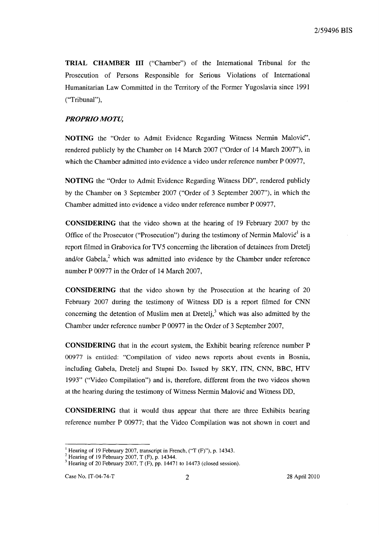TRIAL CHAMBER **III** ("Chamber") of the International Tribunal for the Prosecution of Persons Responsible for Serious Violations of International Humanitarian Law Committed in the Territory of the Former Yugoslavia since 1991 ("Tribunal"),

### *PROPRIO MOTU,*

NOTING the "Order to Admit Evidence Regarding Witness Nermin Malovic", rendered publicly by the Chamber on 14 March 2007 ("Order of 14 March 2007"), in which the Chamber admitted into evidence a video under reference number P 00977,

NOTING the "Order to Admit Evidence Regarding Witness DD", rendered publicly by the Chamber on 3 September 2007 ("Order of 3 September 2007"), in which the Chamber admitted into evidence a video under reference number P 00977,

CONSIDERING that the video shown at the hearing of 19 February 2007 by the Office of the Prosecutor ("Prosecution") during the testimony of Nermin Malovic<sup>1</sup> is a report filmed in Grabovica for TV5 concerning the liberation of detainees from Dretelj and/or Gabela, $2$  which was admitted into evidence by the Chamber under reference number P 00977 in the Order of 14 March 2007,

CONSIDERING that the video shown by the Prosecution at the hearing of 20 February 2007 during the testimony of Witness DD is a report filmed for CNN concerning the detention of Muslim men at Dretelj,<sup>3</sup> which was also admitted by the Chamber under reference number P 00977 in the Order of 3 September 2007,

CONSIDERING that in the *ecourt* system, the Exhibit bearing reference number P 00977 is entitled: "Compilation of video news reports about events in Bosnia, including Gabela, Dretelj and Stupni Do. Issued by SKY, ITN, CNN, BBC, HTV 1993" ("Video Compilation") and is, therefore, different from the two videos shown at the hearing during the testimony of Witness Nermin Malovic and Witness DD,

CONSIDERING that it would thus appear that there are three Exhibits bearing reference number P 00977; that the Video Compilation was not shown in court and

<sup>&</sup>lt;sup>1</sup> Hearing of 19 February 2007, transcript in French, ("T (F)"), p. 14343.

 $2$  Hearing of 19 February 2007, T (F), p. 14344.

 $3$  Hearing of 20 February 2007, T (F), pp. 14471 to 14473 (closed session).